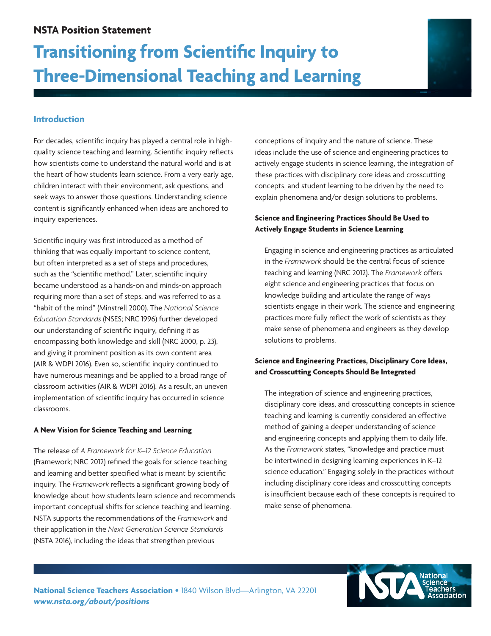# **Transitioning from Scientific Inquiry to Three-Dimensional Teaching and Learning**



# **Introduction**

For decades, scientific inquiry has played a central role in highquality science teaching and learning. Scientific inquiry reflects how scientists come to understand the natural world and is at the heart of how students learn science. From a very early age, children interact with their environment, ask questions, and seek ways to answer those questions. Understanding science content is significantly enhanced when ideas are anchored to inquiry experiences.

Scientific inquiry was first introduced as a method of thinking that was equally important to science content, but often interpreted as a set of steps and procedures, such as the "scientific method." Later, scientific inquiry became understood as a hands-on and minds-on approach requiring more than a set of steps, and was referred to as a "habit of the mind" (Minstrell 2000). The *National Science Education Standards* (NSES; NRC 1996) further developed our understanding of scientific inquiry, defining it as encompassing both knowledge and skill (NRC 2000, p. 23), and giving it prominent position as its own content area (AIR & WDPI 2016). Even so, scientific inquiry continued to have numerous meanings and be applied to a broad range of classroom activities (AIR & WDPI 2016). As a result, an uneven implementation of scientific inquiry has occurred in science classrooms.

#### **A New Vision for Science Teaching and Learning**

The release of *A Framework for K–12 Science Education* (Framework; NRC 2012) refined the goals for science teaching and learning and better specified what is meant by scientific inquiry. The *Framework* reflects a significant growing body of knowledge about how students learn science and recommends important conceptual shifts for science teaching and learning. NSTA supports the recommendations of the *Framework* and their application in the *Next Generation Science Standards* (NSTA 2016), including the ideas that strengthen previous

conceptions of inquiry and the nature of science. These ideas include the use of science and engineering practices to actively engage students in science learning, the integration of these practices with disciplinary core ideas and crosscutting concepts, and student learning to be driven by the need to explain phenomena and/or design solutions to problems.

## **Science and Engineering Practices Should Be Used to Actively Engage Students in Science Learning**

Engaging in science and engineering practices as articulated in the *Framework* should be the central focus of science teaching and learning (NRC 2012). The *Framework* offers eight science and engineering practices that focus on knowledge building and articulate the range of ways scientists engage in their work. The science and engineering practices more fully reflect the work of scientists as they make sense of phenomena and engineers as they develop solutions to problems.

## **Science and Engineering Practices, Disciplinary Core Ideas, and Crosscutting Concepts Should Be Integrated**

The integration of science and engineering practices, disciplinary core ideas, and crosscutting concepts in science teaching and learning is currently considered an effective method of gaining a deeper understanding of science and engineering concepts and applying them to daily life. As the *Framework* states, "knowledge and practice must be intertwined in designing learning experiences in K–12 science education." Engaging solely in the practices without including disciplinary core ideas and crosscutting concepts is insufficient because each of these concepts is required to make sense of phenomena.

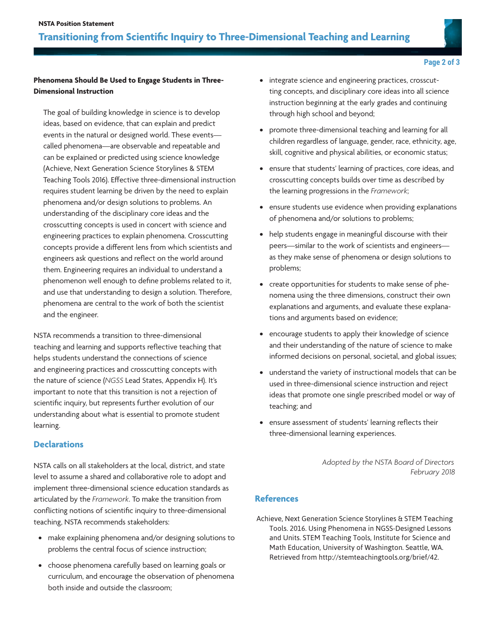

## **Page 2 of 3**

### **Phenomena Should Be Used to Engage Students in Three-Dimensional Instruction**

The goal of building knowledge in science is to develop ideas, based on evidence, that can explain and predict events in the natural or designed world. These events called phenomena—are observable and repeatable and can be explained or predicted using science knowledge (Achieve, Next Generation Science Storylines & STEM Teaching Tools 2016). Effective three-dimensional instruction requires student learning be driven by the need to explain phenomena and/or design solutions to problems. An understanding of the disciplinary core ideas and the crosscutting concepts is used in concert with science and engineering practices to explain phenomena. Crosscutting concepts provide a different lens from which scientists and engineers ask questions and reflect on the world around them. Engineering requires an individual to understand a phenomenon well enough to define problems related to it, and use that understanding to design a solution. Therefore, phenomena are central to the work of both the scientist and the engineer.

NSTA recommends a transition to three-dimensional teaching and learning and supports reflective teaching that helps students understand the connections of science and engineering practices and crosscutting concepts with the nature of science (*NGSS* Lead States, Appendix H). It's important to note that this transition is not a rejection of scientific inquiry, but represents further evolution of our understanding about what is essential to promote student learning.

## **Declarations**

NSTA calls on all stakeholders at the local, district, and state level to assume a shared and collaborative role to adopt and implement three-dimensional science education standards as articulated by the *Framework*. To make the transition from conflicting notions of scientific inquiry to three-dimensional teaching, NSTA recommends stakeholders:

- **•**  make explaining phenomena and/or designing solutions to problems the central focus of science instruction;
- **•**  choose phenomena carefully based on learning goals or curriculum, and encourage the observation of phenomena both inside and outside the classroom;
- **•**  integrate science and engineering practices, crosscutting concepts, and disciplinary core ideas into all science instruction beginning at the early grades and continuing through high school and beyond;
- promote three-dimensional teaching and learning for all children regardless of language, gender, race, ethnicity, age, skill, cognitive and physical abilities, or economic status;
- **•**  ensure that students' learning of practices, core ideas, and crosscutting concepts builds over time as described by the learning progressions in the *Framework*;
- **•**  ensure students use evidence when providing explanations of phenomena and/or solutions to problems;
- **•**  help students engage in meaningful discourse with their peers—similar to the work of scientists and engineers as they make sense of phenomena or design solutions to problems;
- **•**  create opportunities for students to make sense of phenomena using the three dimensions, construct their own explanations and arguments, and evaluate these explanations and arguments based on evidence;
- **•**  encourage students to apply their knowledge of science and their understanding of the nature of science to make informed decisions on personal, societal, and global issues;
- **•**  understand the variety of instructional models that can be used in three-dimensional science instruction and reject ideas that promote one single prescribed model or way of teaching; and
- **•**  ensure assessment of students' learning reflects their three-dimensional learning experiences.

 *Adopted by the NSTA Board of Directors February 2018* 

## **References**

Achieve, Next Generation Science Storylines & STEM Teaching Tools. 2016. Using Phenomena in NGSS-Designed Lessons and Units. STEM Teaching Tools, Institute for Science and Math Education, University of Washington. Seattle, WA. Retrieved from http://stemteachingtools.org/brief/42.